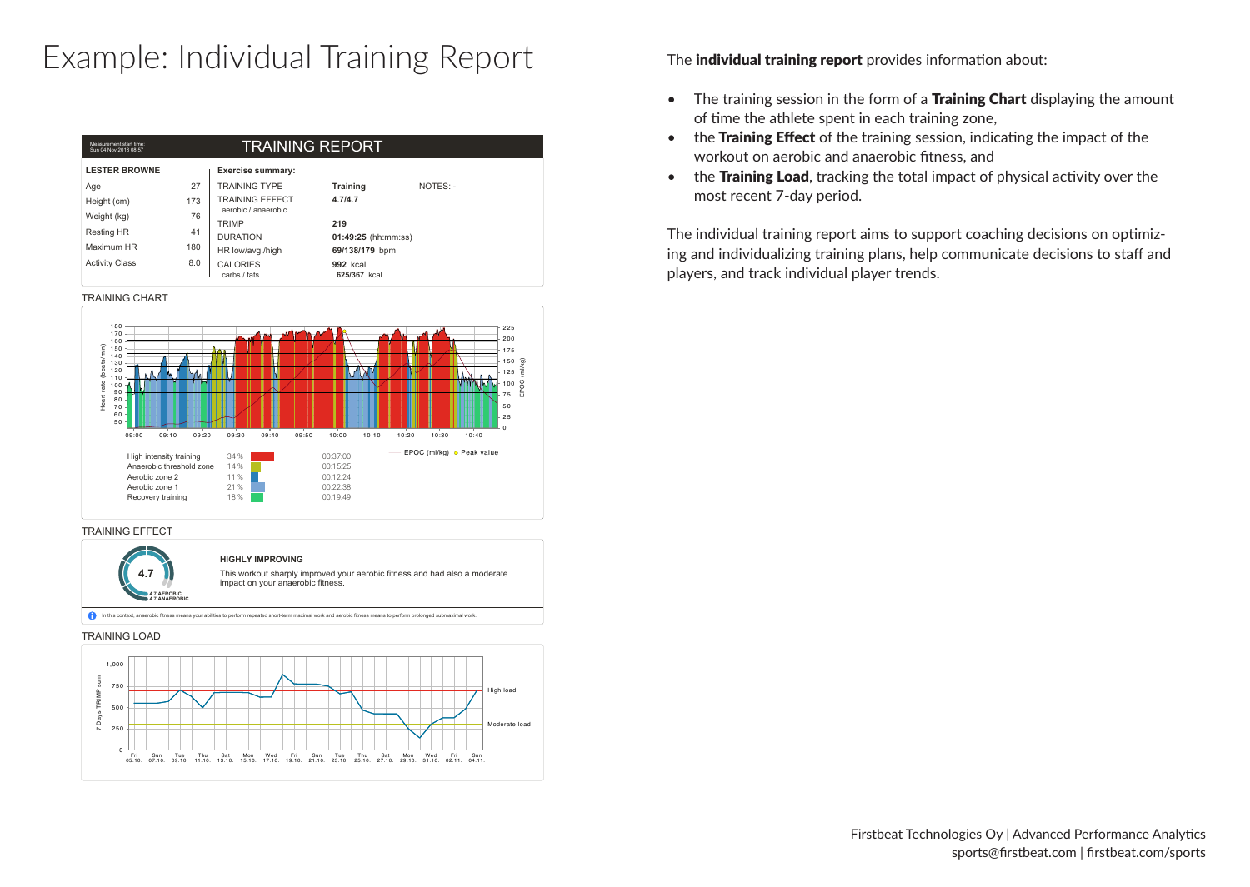## Example: Individual Training Report The individual training report provides information about:

| Measurement start time:<br><b>TRAINING REPORT</b><br>Sun 04 Nov 2018 08:57 |     |                                               |                                 |          |  |  |  |
|----------------------------------------------------------------------------|-----|-----------------------------------------------|---------------------------------|----------|--|--|--|
| <b>LESTER BROWNE</b>                                                       |     | <b>Exercise summary:</b>                      |                                 |          |  |  |  |
| Age                                                                        | 27  | <b>TRAINING TYPE</b>                          | Training                        | NOTES: - |  |  |  |
| Height (cm)                                                                | 173 | <b>TRAINING EFFECT</b><br>aerobic / anaerobic | 4.714.7                         |          |  |  |  |
| Weight (kg)                                                                | 76  | TRIMP                                         | 219                             |          |  |  |  |
| <b>Resting HR</b>                                                          | 41  | <b>DURATION</b>                               | 01:49:25 (hh:mm:ss)             |          |  |  |  |
| Maximum HR                                                                 | 180 | HR low/avg./high                              | 69/138/179 bpm                  |          |  |  |  |
| <b>Activity Class</b>                                                      | 8.0 | <b>CALORIES</b><br>carbs / fats               | <b>992 kcal</b><br>625/367 kcal |          |  |  |  |

TRAINING CHART



### TRAINING EFFECT



In this context, anaerobic fitness means your abilities to perform repeated short-term maximal work and aerobic fitness means to perform prolonged submaximal work

### TRAINING LOAD



- The training session in the form of a **Training Chart** displaying the amount of time the athlete spent in each training zone,
- the Training Effect of the training session, indicating the impact of the workout on aerobic and anaerobic fitness, and
- the Training Load, tracking the total impact of physical activity over the most recent 7-day period.

The individual training report aims to support coaching decisions on optimizing and individualizing training plans, help communicate decisions to staff and players, and track individual player trends.